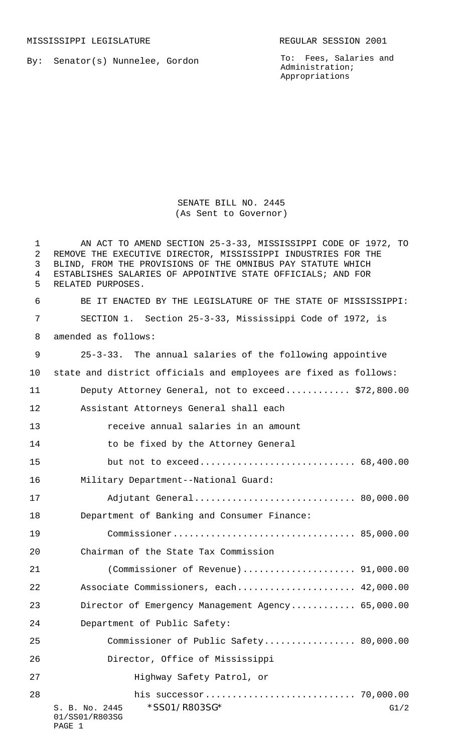MISSISSIPPI LEGISLATURE **REGULAR SESSION 2001** 

By: Senator(s) Nunnelee, Gordon

To: Fees, Salaries and Administration; Appropriations

SENATE BILL NO. 2445 (As Sent to Governor)

S. B. No. 2445 \* SS01/R803SG\* G1/2 01/SS01/R803SG PAGE 1 AN ACT TO AMEND SECTION 25-3-33, MISSISSIPPI CODE OF 1972, TO REMOVE THE EXECUTIVE DIRECTOR, MISSISSIPPI INDUSTRIES FOR THE BLIND, FROM THE PROVISIONS OF THE OMNIBUS PAY STATUTE WHICH ESTABLISHES SALARIES OF APPOINTIVE STATE OFFICIALS; AND FOR RELATED PURPOSES. BE IT ENACTED BY THE LEGISLATURE OF THE STATE OF MISSISSIPPI: SECTION 1. Section 25-3-33, Mississippi Code of 1972, is amended as follows: 25-3-33. The annual salaries of the following appointive state and district officials and employees are fixed as follows: Deputy Attorney General, not to exceed............ \$72,800.00 Assistant Attorneys General shall each receive annual salaries in an amount 14 to be fixed by the Attorney General but not to exceed............................. 68,400.00 Military Department--National Guard: Adjutant General.............................. 80,000.00 Department of Banking and Consumer Finance: Commissioner.................................. 85,000.00 Chairman of the State Tax Commission (Commissioner of Revenue)..................... 91,000.00 22 Associate Commissioners, each....................... 42,000.00 Director of Emergency Management Agency............ 65,000.00 Department of Public Safety: Commissioner of Public Safety................. 80,000.00 Director, Office of Mississippi Highway Safety Patrol, or his successor............................ 70,000.00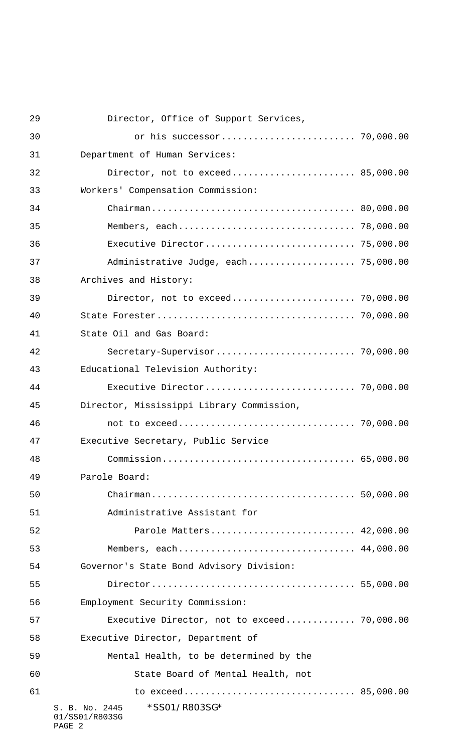| 29 | Director, Office of Support Services,                       |  |
|----|-------------------------------------------------------------|--|
| 30 |                                                             |  |
| 31 | Department of Human Services:                               |  |
| 32 | Director, not to exceed 85,000.00                           |  |
| 33 | Workers' Compensation Commission:                           |  |
| 34 |                                                             |  |
| 35 |                                                             |  |
| 36 |                                                             |  |
| 37 | Administrative Judge, each 75,000.00                        |  |
| 38 | Archives and History:                                       |  |
| 39 | Director, not to exceed 70,000.00                           |  |
| 40 |                                                             |  |
| 41 | State Oil and Gas Board:                                    |  |
| 42 |                                                             |  |
| 43 | Educational Television Authority:                           |  |
| 44 |                                                             |  |
| 45 | Director, Mississippi Library Commission,                   |  |
| 46 |                                                             |  |
| 47 | Executive Secretary, Public Service                         |  |
| 48 |                                                             |  |
| 49 | Parole Board:                                               |  |
| 50 |                                                             |  |
| 51 | Administrative Assistant for                                |  |
| 52 | Parole Matters 42,000.00                                    |  |
| 53 | Members, each 44,000.00                                     |  |
| 54 | Governor's State Bond Advisory Division:                    |  |
| 55 |                                                             |  |
| 56 | Employment Security Commission:                             |  |
| 57 | Executive Director, not to exceed 70,000.00                 |  |
| 58 | Executive Director, Department of                           |  |
| 59 | Mental Health, to be determined by the                      |  |
| 60 | State Board of Mental Health, not                           |  |
| 61 |                                                             |  |
|    | *SS01/R803SG*<br>S. B. No. 2445<br>01/SS01/R803SG<br>PAGE 2 |  |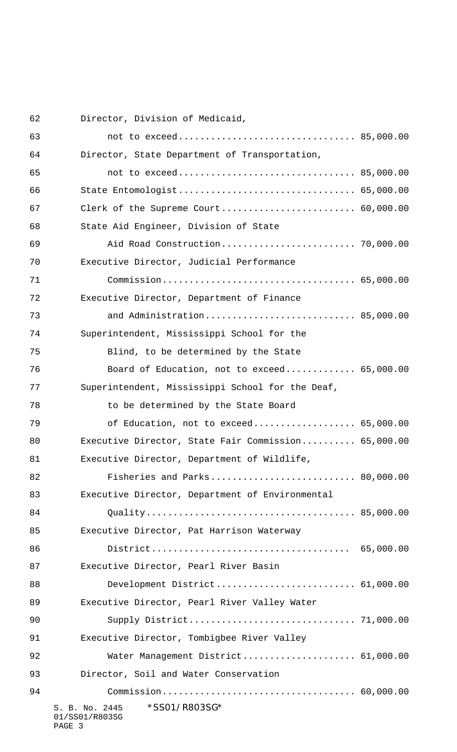Director, Division of Medicaid,

| 63 |                                                             |  |
|----|-------------------------------------------------------------|--|
| 64 | Director, State Department of Transportation,               |  |
| 65 |                                                             |  |
| 66 | State Entomologist 65,000.00                                |  |
| 67 |                                                             |  |
| 68 | State Aid Engineer, Division of State                       |  |
| 69 |                                                             |  |
| 70 | Executive Director, Judicial Performance                    |  |
| 71 |                                                             |  |
| 72 | Executive Director, Department of Finance                   |  |
| 73 | and Administration 85,000.00                                |  |
| 74 | Superintendent, Mississippi School for the                  |  |
| 75 | Blind, to be determined by the State                        |  |
| 76 | Board of Education, not to exceed 65,000.00                 |  |
| 77 | Superintendent, Mississippi School for the Deaf,            |  |
| 78 | to be determined by the State Board                         |  |
| 79 | of Education, not to exceed 65,000.00                       |  |
| 80 | Executive Director, State Fair Commission 65,000.00         |  |
| 81 | Executive Director, Department of Wildlife,                 |  |
| 82 | Fisheries and Parks 80,000.00                               |  |
| 83 | Executive Director, Department of Environmental             |  |
| 84 |                                                             |  |
| 85 | Executive Director, Pat Harrison Waterway                   |  |
| 86 |                                                             |  |
| 87 | Executive Director, Pearl River Basin                       |  |
| 88 | Development District 61,000.00                              |  |
| 89 | Executive Director, Pearl River Valley Water                |  |
| 90 |                                                             |  |
| 91 | Executive Director, Tombigbee River Valley                  |  |
| 92 | Water Management District 61,000.00                         |  |
| 93 | Director, Soil and Water Conservation                       |  |
| 94 |                                                             |  |
|    | *SS01/R803SG*<br>S. B. No. 2445<br>01/SS01/R803SG<br>PAGE 3 |  |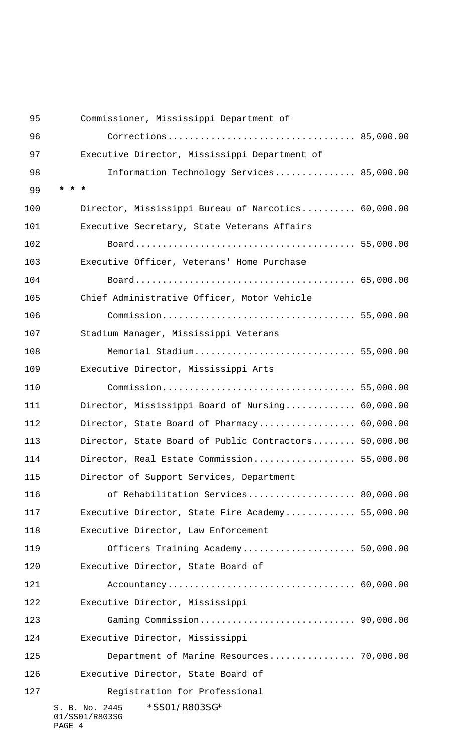| 95  | Commissioner, Mississippi Department of               |  |
|-----|-------------------------------------------------------|--|
| 96  |                                                       |  |
| 97  | Executive Director, Mississippi Department of         |  |
| 98  | Information Technology Services 85,000.00             |  |
| 99  |                                                       |  |
| 100 | Director, Mississippi Bureau of Narcotics 60,000.00   |  |
| 101 | Executive Secretary, State Veterans Affairs           |  |
| 102 |                                                       |  |
| 103 | Executive Officer, Veterans' Home Purchase            |  |
| 104 |                                                       |  |
| 105 | Chief Administrative Officer, Motor Vehicle           |  |
| 106 |                                                       |  |
| 107 | Stadium Manager, Mississippi Veterans                 |  |
| 108 | Memorial Stadium 55,000.00                            |  |
| 109 | Executive Director, Mississippi Arts                  |  |
| 110 |                                                       |  |
| 111 | Director, Mississippi Board of Nursing 60,000.00      |  |
| 112 | Director, State Board of Pharmacy 60,000.00           |  |
| 113 | Director, State Board of Public Contractors 50,000.00 |  |
| 114 | Director, Real Estate Commission 55,000.00            |  |
| 115 | Director of Support Services, Department              |  |
| 116 | of Rehabilitation Services 80,000.00                  |  |
| 117 | Executive Director, State Fire Academy 55,000.00      |  |
| 118 | Executive Director, Law Enforcement                   |  |
| 119 | Officers Training Academy 50,000.00                   |  |
| 120 | Executive Director, State Board of                    |  |
| 121 |                                                       |  |
| 122 | Executive Director, Mississippi                       |  |
| 123 |                                                       |  |
| 124 | Executive Director, Mississippi                       |  |
| 125 | Department of Marine Resources 70,000.00              |  |
| 126 | Executive Director, State Board of                    |  |
| 127 | Registration for Professional                         |  |
|     | *SS01/R803SG*<br>S. B. No. 2445<br>01/SS01/R803SG     |  |

## PAGE 4